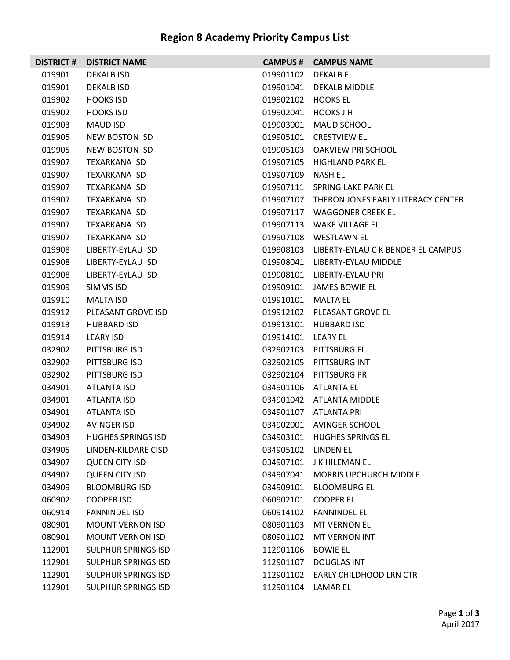## **Region 8 Academy Priority Campus List**

| <b>DISTRICT#</b> | <b>DISTRICT NAME</b>       |                     | <b>CAMPUS # CAMPUS NAME</b>                  |
|------------------|----------------------------|---------------------|----------------------------------------------|
| 019901           | <b>DEKALB ISD</b>          | 019901102           | DEKALB EL                                    |
| 019901           | DEKALB ISD                 |                     | 019901041 DEKALB MIDDLE                      |
| 019902           | <b>HOOKS ISD</b>           | 019902102 HOOKS EL  |                                              |
| 019902           | <b>HOOKS ISD</b>           | 019902041 HOOKS J H |                                              |
| 019903           | MAUD ISD                   | 019903001           | <b>MAUD SCHOOL</b>                           |
| 019905           | NEW BOSTON ISD             | 019905101           | CRESTVIEW EL                                 |
| 019905           | <b>NEW BOSTON ISD</b>      |                     | 019905103 OAKVIEW PRI SCHOOL                 |
| 019907           | <b>TEXARKANA ISD</b>       |                     | 019907105 HIGHLAND PARK EL                   |
| 019907           | TEXARKANA ISD              | 019907109           | NASH EL                                      |
| 019907           | TEXARKANA ISD              |                     | 019907111 SPRING LAKE PARK EL                |
| 019907           | TEXARKANA ISD              |                     | 019907107 THERON JONES EARLY LITERACY CENTER |
| 019907           | TEXARKANA ISD              |                     | 019907117 WAGGONER CREEK EL                  |
| 019907           | TEXARKANA ISD              |                     | 019907113 WAKE VILLAGE EL                    |
| 019907           | <b>TEXARKANA ISD</b>       |                     | 019907108 WESTLAWN EL                        |
| 019908           | LIBERTY-EYLAU ISD          |                     | 019908103 LIBERTY-EYLAU C K BENDER EL CAMPUS |
| 019908           | LIBERTY-EYLAU ISD          |                     | 019908041 LIBERTY-EYLAU MIDDLE               |
| 019908           | LIBERTY-EYLAU ISD          |                     | 019908101 LIBERTY-EYLAU PRI                  |
| 019909           | SIMMS ISD                  |                     | 019909101 JAMES BOWIE EL                     |
| 019910           | <b>MALTA ISD</b>           | 019910101           | MALTA EL                                     |
| 019912           | PLEASANT GROVE ISD         |                     | 019912102 PLEASANT GROVE EL                  |
| 019913           | <b>HUBBARD ISD</b>         |                     | 019913101 HUBBARD ISD                        |
| 019914           | LEARY ISD                  | 019914101 LEARY EL  |                                              |
| 032902           | PITTSBURG ISD              |                     | 032902103 PITTSBURG EL                       |
| 032902           | PITTSBURG ISD              |                     | 032902105 PITTSBURG INT                      |
| 032902           | PITTSBURG ISD              |                     | 032902104 PITTSBURG PRI                      |
| 034901           | ATLANTA ISD                |                     | 034901106 ATLANTA EL                         |
| 034901           | ATLANTA ISD                |                     | 034901042 ATLANTA MIDDLE                     |
| 034901           | ATLANTA ISD                |                     | 034901107 ATLANTA PRI                        |
| 034902           | <b>AVINGER ISD</b>         |                     | 034902001 AVINGER SCHOOL                     |
| 034903           | <b>HUGHES SPRINGS ISD</b>  |                     | 034903101 HUGHES SPRINGS EL                  |
| 034905           | LINDEN-KILDARE CISD        | 034905102 LINDEN EL |                                              |
| 034907           | <b>QUEEN CITY ISD</b>      |                     | 034907101 J K HILEMAN EL                     |
| 034907           | <b>QUEEN CITY ISD</b>      |                     | 034907041 MORRIS UPCHURCH MIDDLE             |
| 034909           | <b>BLOOMBURG ISD</b>       |                     | 034909101 BLOOMBURG EL                       |
| 060902           | <b>COOPER ISD</b>          |                     | 060902101 COOPER EL                          |
| 060914           | <b>FANNINDEL ISD</b>       |                     | 060914102 FANNINDEL EL                       |
| 080901           | <b>MOUNT VERNON ISD</b>    |                     | 080901103 MT VERNON EL                       |
| 080901           | <b>MOUNT VERNON ISD</b>    |                     | 080901102 MT VERNON INT                      |
| 112901           | <b>SULPHUR SPRINGS ISD</b> | 112901106           | <b>BOWIE EL</b>                              |
| 112901           | <b>SULPHUR SPRINGS ISD</b> |                     | 112901107 DOUGLAS INT                        |
| 112901           | <b>SULPHUR SPRINGS ISD</b> |                     | 112901102 EARLY CHILDHOOD LRN CTR            |
| 112901           | <b>SULPHUR SPRINGS ISD</b> | 112901104 LAMAR EL  |                                              |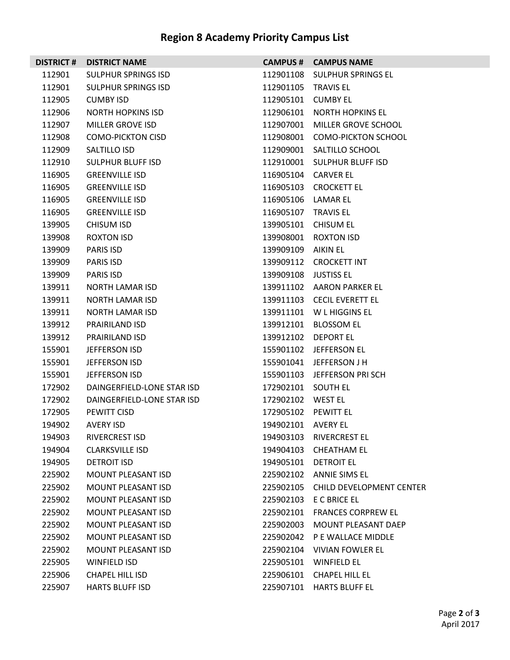## **Region 8 Academy Priority Campus List**

|        | <b>DISTRICT # DISTRICT NAME</b> |                      | <b>CAMPUS # CAMPUS NAME</b>        |
|--------|---------------------------------|----------------------|------------------------------------|
| 112901 | SULPHUR SPRINGS ISD             |                      | 112901108 SULPHUR SPRINGS EL       |
| 112901 | <b>SULPHUR SPRINGS ISD</b>      | 112901105 TRAVIS EL  |                                    |
| 112905 | <b>CUMBY ISD</b>                | 112905101 CUMBY EL   |                                    |
| 112906 | NORTH HOPKINS ISD               |                      | 112906101 NORTH HOPKINS EL         |
| 112907 | MILLER GROVE ISD                |                      | 112907001 MILLER GROVE SCHOOL      |
| 112908 | <b>COMO-PICKTON CISD</b>        |                      | 112908001 COMO-PICKTON SCHOOL      |
| 112909 | SALTILLO ISD                    |                      | 112909001 SALTILLO SCHOOL          |
| 112910 | SULPHUR BLUFF ISD               |                      | 112910001 SULPHUR BLUFF ISD        |
| 116905 | <b>GREENVILLE ISD</b>           | 116905104 CARVER EL  |                                    |
| 116905 | <b>GREENVILLE ISD</b>           |                      | 116905103 CROCKETT EL              |
| 116905 | <b>GREENVILLE ISD</b>           | 116905106 LAMAR EL   |                                    |
| 116905 | <b>GREENVILLE ISD</b>           | 116905107 TRAVIS EL  |                                    |
| 139905 | <b>CHISUM ISD</b>               |                      | 139905101 CHISUM EL                |
| 139908 | ROXTON ISD                      |                      | 139908001 ROXTON ISD               |
| 139909 | <b>PARIS ISD</b>                | 139909109 AIKIN EL   |                                    |
| 139909 | PARIS ISD                       |                      | 139909112 CROCKETT INT             |
| 139909 | PARIS ISD                       | 139909108 JUSTISS EL |                                    |
| 139911 | NORTH LAMAR ISD                 |                      | 139911102 AARON PARKER EL          |
| 139911 | <b>NORTH LAMAR ISD</b>          |                      | 139911103 CECIL EVERETT EL         |
| 139911 | NORTH LAMAR ISD                 |                      | 139911101 W L HIGGINS EL           |
| 139912 | <b>PRAIRILAND ISD</b>           |                      | 139912101 BLOSSOM EL               |
| 139912 | <b>PRAIRILAND ISD</b>           |                      | 139912102 DEPORT EL                |
| 155901 | JEFFERSON ISD                   |                      | 155901102 JEFFERSON EL             |
| 155901 | JEFFERSON ISD                   |                      | 155901041 JEFFERSON J H            |
| 155901 | JEFFERSON ISD                   |                      | 155901103 JEFFERSON PRISCH         |
| 172902 | DAINGERFIELD-LONE STAR ISD      | 172902101 SOUTH EL   |                                    |
| 172902 | DAINGERFIELD-LONE STAR ISD      | 172902102 WEST EL    |                                    |
| 172905 | PEWITT CISD                     | 172905102 PEWITT EL  |                                    |
| 194902 | AVERY ISD                       | 194902101 AVERY EL   |                                    |
| 194903 | RIVERCREST ISD                  | 194903103            | <b>RIVERCREST EL</b>               |
| 194904 | <b>CLARKSVILLE ISD</b>          | 194904103            | <b>CHEATHAM EL</b>                 |
| 194905 | DETROIT ISD                     |                      | 194905101 DETROIT EL               |
| 225902 | <b>MOUNT PLEASANT ISD</b>       |                      | 225902102 ANNIE SIMS EL            |
| 225902 | <b>MOUNT PLEASANT ISD</b>       |                      | 225902105 CHILD DEVELOPMENT CENTER |
| 225902 | MOUNT PLEASANT ISD              |                      | 225902103 E C BRICE EL             |
| 225902 | MOUNT PLEASANT ISD              |                      | 225902101 FRANCES CORPREW EL       |
| 225902 | MOUNT PLEASANT ISD              | 225902003            | MOUNT PLEASANT DAEP                |
| 225902 | <b>MOUNT PLEASANT ISD</b>       |                      | 225902042 P E WALLACE MIDDLE       |
| 225902 | MOUNT PLEASANT ISD              |                      | 225902104 VIVIAN FOWLER EL         |
| 225905 | WINFIELD ISD                    |                      | 225905101 WINFIELD EL              |
| 225906 | CHAPEL HILL ISD                 | 225906101            | <b>CHAPEL HILL EL</b>              |
| 225907 | <b>HARTS BLUFF ISD</b>          |                      | 225907101 HARTS BLUFF EL           |